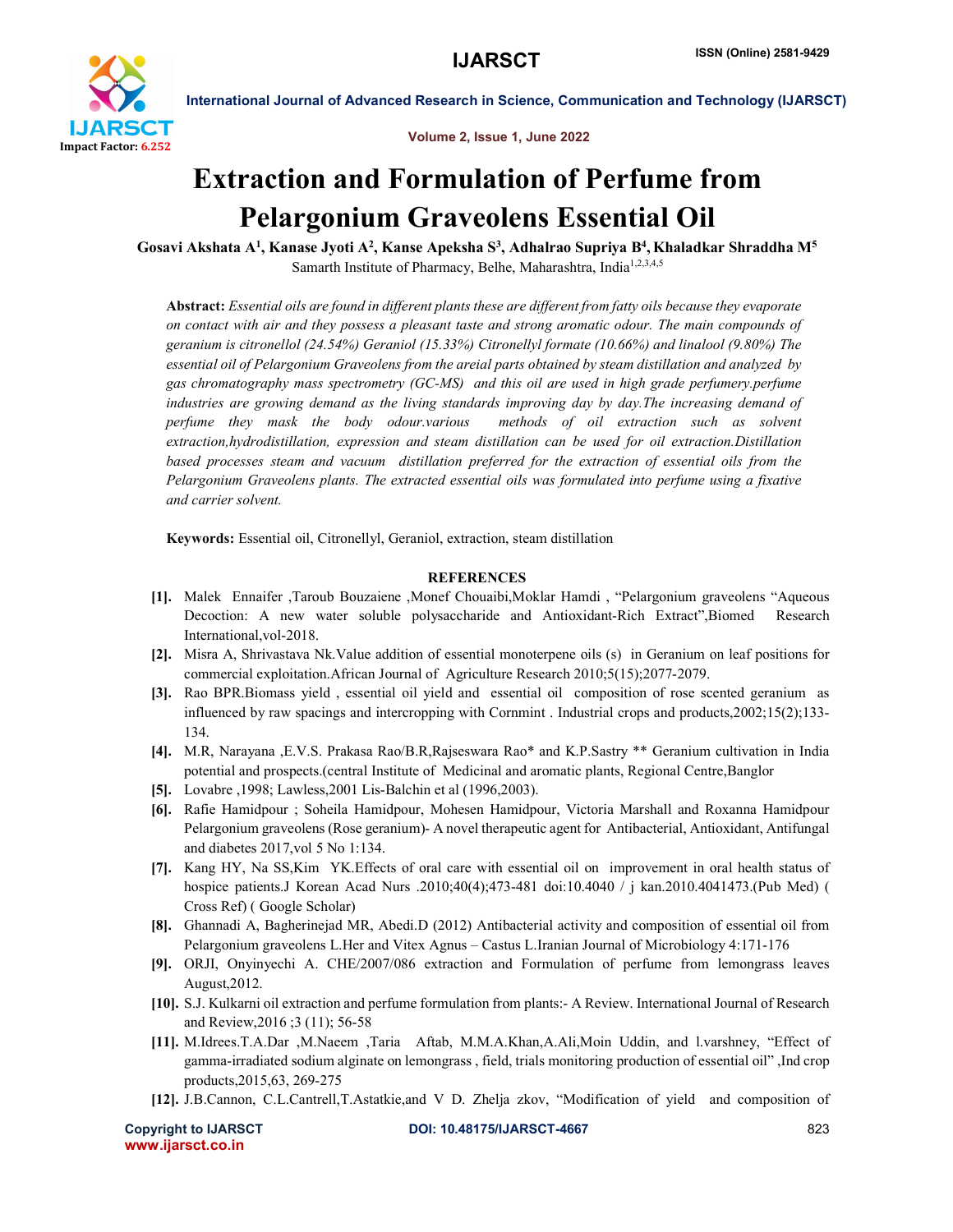

International Journal of Advanced Research in Science, Communication and Technology (IJARSCT)

Volume 2, Issue 1, June 2022

## Extraction and Formulation of Perfume from Pelargonium Graveolens Essential Oil

Gosavi Akshata A<sup>1</sup>, Kanase Jyoti A<sup>2</sup>, Kanse Apeksha S<sup>3</sup>, Adhalrao Supriya B<sup>4</sup>, Khaladkar Shraddha M<sup>5</sup> Samarth Institute of Pharmacy, Belhe, Maharashtra, India<sup>1,2,3,4,5</sup>

Abstract: *Essential oils are found in different plants these are different from fatty oils because they evaporate on contact with air and they possess a pleasant taste and strong aromatic odour. The main compounds of geranium is citronellol (24.54%) Geraniol (15.33%) Citronellyl formate (10.66%) and linalool (9.80%) The essential oil of Pelargonium Graveolens from the areial parts obtained by steam distillation and analyzed by gas chromatography mass spectrometry (GC-MS) and this oil are used in high grade perfumery.perfume industries are growing demand as the living standards improving day by day.The increasing demand of perfume they mask the body odour.various methods of oil extraction such as solvent extraction,hydrodistillation, expression and steam distillation can be used for oil extraction.Distillation based processes steam and vacuum distillation preferred for the extraction of essential oils from the Pelargonium Graveolens plants. The extracted essential oils was formulated into perfume using a fixative and carrier solvent.*

Keywords: Essential oil, Citronellyl, Geraniol, extraction, steam distillation

## **REFERENCES**

- [1]. Malek Ennaifer ,Taroub Bouzaiene ,Monef Chouaibi,Moklar Hamdi , "Pelargonium graveolens "Aqueous Decoction: A new water soluble polysaccharide and Antioxidant-Rich Extract",Biomed Research International,vol-2018.
- [2]. Misra A, Shrivastava Nk.Value addition of essential monoterpene oils (s) in Geranium on leaf positions for commercial exploitation.African Journal of Agriculture Research 2010;5(15);2077-2079.
- [3]. Rao BPR.Biomass yield , essential oil yield and essential oil composition of rose scented geranium as influenced by raw spacings and intercropping with Cornmint . Industrial crops and products,2002;15(2);133- 134.
- [4]. M.R, Narayana ,E.V.S. Prakasa Rao/B.R,Rajseswara Rao\* and K.P.Sastry \*\* Geranium cultivation in India potential and prospects.(central Institute of Medicinal and aromatic plants, Regional Centre,Banglor
- [5]. Lovabre ,1998; Lawless,2001 Lis-Balchin et al (1996,2003).
- [6]. Rafie Hamidpour ; Soheila Hamidpour, Mohesen Hamidpour, Victoria Marshall and Roxanna Hamidpour Pelargonium graveolens (Rose geranium)- A novel therapeutic agent for Antibacterial, Antioxidant, Antifungal and diabetes 2017,vol 5 No 1:134.
- [7]. Kang HY, Na SS,Kim YK.Effects of oral care with essential oil on improvement in oral health status of hospice patients.J Korean Acad Nurs .2010;40(4);473-481 doi:10.4040 / j kan.2010.4041473.(Pub Med) ( Cross Ref) ( Google Scholar)
- [8]. Ghannadi A, Bagherinejad MR, Abedi.D (2012) Antibacterial activity and composition of essential oil from Pelargonium graveolens L.Her and Vitex Agnus – Castus L.Iranian Journal of Microbiology 4:171-176
- [9]. ORJI, Onyinyechi A. CHE/2007/086 extraction and Formulation of perfume from lemongrass leaves August,2012.
- [10]. S.J. Kulkarni oil extraction and perfume formulation from plants:- A Review. International Journal of Research and Review,2016 ;3 (11); 56-58
- [11]. M.Idrees.T.A.Dar ,M.Naeem ,Taria Aftab, M.M.A.Khan,A.Ali,Moin Uddin, and l.varshney, "Effect of gamma-irradiated sodium alginate on lemongrass , field, trials monitoring production of essential oil" ,Ind crop products,2015,63, 269-275
- [12]. J.B.Cannon, C.L.Cantrell,T.Astatkie,and V D. Zhelja zkov, "Modification of yield and composition of

www.ijarsct.co.in